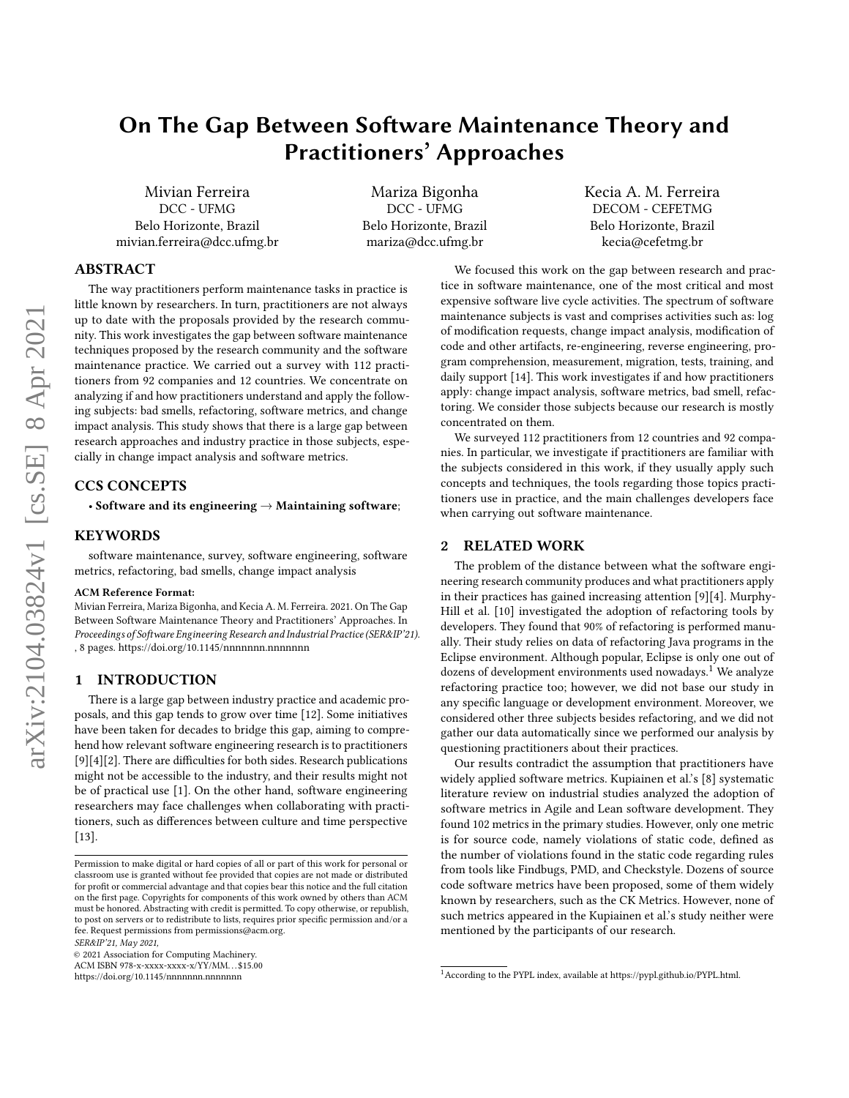# On The Gap Between Software Maintenance Theory and Practitioners' Approaches

Mivian Ferreira DCC - UFMG Belo Horizonte, Brazil mivian.ferreira@dcc.ufmg.br

Mariza Bigonha DCC - UFMG Belo Horizonte, Brazil mariza@dcc.ufmg.br

Kecia A. M. Ferreira DECOM - CEFETMG Belo Horizonte, Brazil kecia@cefetmg.br

# ABSTRACT

The way practitioners perform maintenance tasks in practice is little known by researchers. In turn, practitioners are not always up to date with the proposals provided by the research community. This work investigates the gap between software maintenance techniques proposed by the research community and the software maintenance practice. We carried out a survey with 112 practitioners from 92 companies and 12 countries. We concentrate on analyzing if and how practitioners understand and apply the following subjects: bad smells, refactoring, software metrics, and change impact analysis. This study shows that there is a large gap between research approaches and industry practice in those subjects, especially in change impact analysis and software metrics.

# CCS CONCEPTS

• Software and its engineering  $\rightarrow$  Maintaining software;

# **KEYWORDS**

software maintenance, survey, software engineering, software metrics, refactoring, bad smells, change impact analysis

#### ACM Reference Format:

Mivian Ferreira, Mariza Bigonha, and Kecia A. M. Ferreira. 2021. On The Gap Between Software Maintenance Theory and Practitioners' Approaches. In Proceedings of Software Engineering Research and Industrial Practice (SER&IP'21). , [8](#page-7-0) pages.<https://doi.org/10.1145/nnnnnnn.nnnnnnn>

#### 1 INTRODUCTION

There is a large gap between industry practice and academic proposals, and this gap tends to grow over time [\[12\]](#page-7-1). Some initiatives have been taken for decades to bridge this gap, aiming to comprehend how relevant software engineering research is to practitioners [\[9\]](#page-7-2)[\[4\]](#page-7-3)[\[2\]](#page-7-4). There are difficulties for both sides. Research publications might not be accessible to the industry, and their results might not be of practical use [\[1\]](#page-7-5). On the other hand, software engineering researchers may face challenges when collaborating with practitioners, such as differences between culture and time perspective [\[13\]](#page-7-6).

SER&IP'21, May 2021,

© 2021 Association for Computing Machinery.

ACM ISBN 978-x-xxxx-xxxx-x/YY/MM. . . \$15.00

<https://doi.org/10.1145/nnnnnnn.nnnnnnn>

We focused this work on the gap between research and practice in software maintenance, one of the most critical and most expensive software live cycle activities. The spectrum of software maintenance subjects is vast and comprises activities such as: log of modification requests, change impact analysis, modification of code and other artifacts, re-engineering, reverse engineering, program comprehension, measurement, migration, tests, training, and daily support [\[14\]](#page-7-7). This work investigates if and how practitioners apply: change impact analysis, software metrics, bad smell, refactoring. We consider those subjects because our research is mostly concentrated on them.

We surveyed 112 practitioners from 12 countries and 92 companies. In particular, we investigate if practitioners are familiar with the subjects considered in this work, if they usually apply such concepts and techniques, the tools regarding those topics practitioners use in practice, and the main challenges developers face when carrying out software maintenance.

#### 2 RELATED WORK

The problem of the distance between what the software engineering research community produces and what practitioners apply in their practices has gained increasing attention [\[9\]](#page-7-2)[\[4\]](#page-7-3). Murphy-Hill et al. [\[10\]](#page-7-8) investigated the adoption of refactoring tools by developers. They found that 90% of refactoring is performed manually. Their study relies on data of refactoring Java programs in the Eclipse environment. Although popular, Eclipse is only one out of dozens of development environments used nowadays.<sup>[1](#page-0-0)</sup> We analyze refactoring practice too; however, we did not base our study in any specific language or development environment. Moreover, we considered other three subjects besides refactoring, and we did not gather our data automatically since we performed our analysis by questioning practitioners about their practices.

Our results contradict the assumption that practitioners have widely applied software metrics. Kupiainen et al.'s [\[8\]](#page-7-9) systematic literature review on industrial studies analyzed the adoption of software metrics in Agile and Lean software development. They found 102 metrics in the primary studies. However, only one metric is for source code, namely violations of static code, defined as the number of violations found in the static code regarding rules from tools like Findbugs, PMD, and Checkstyle. Dozens of source code software metrics have been proposed, some of them widely known by researchers, such as the CK Metrics. However, none of such metrics appeared in the Kupiainen et al.'s study neither were mentioned by the participants of our research.

Permission to make digital or hard copies of all or part of this work for personal or classroom use is granted without fee provided that copies are not made or distributed for profit or commercial advantage and that copies bear this notice and the full citation on the first page. Copyrights for components of this work owned by others than ACM must be honored. Abstracting with credit is permitted. To copy otherwise, or republish, to post on servers or to redistribute to lists, requires prior specific permission and/or a fee. Request permissions from permissions@acm.org.

<span id="page-0-0"></span><sup>1</sup>According to the PYPL index, available at https://pypl.github.io/PYPL.html.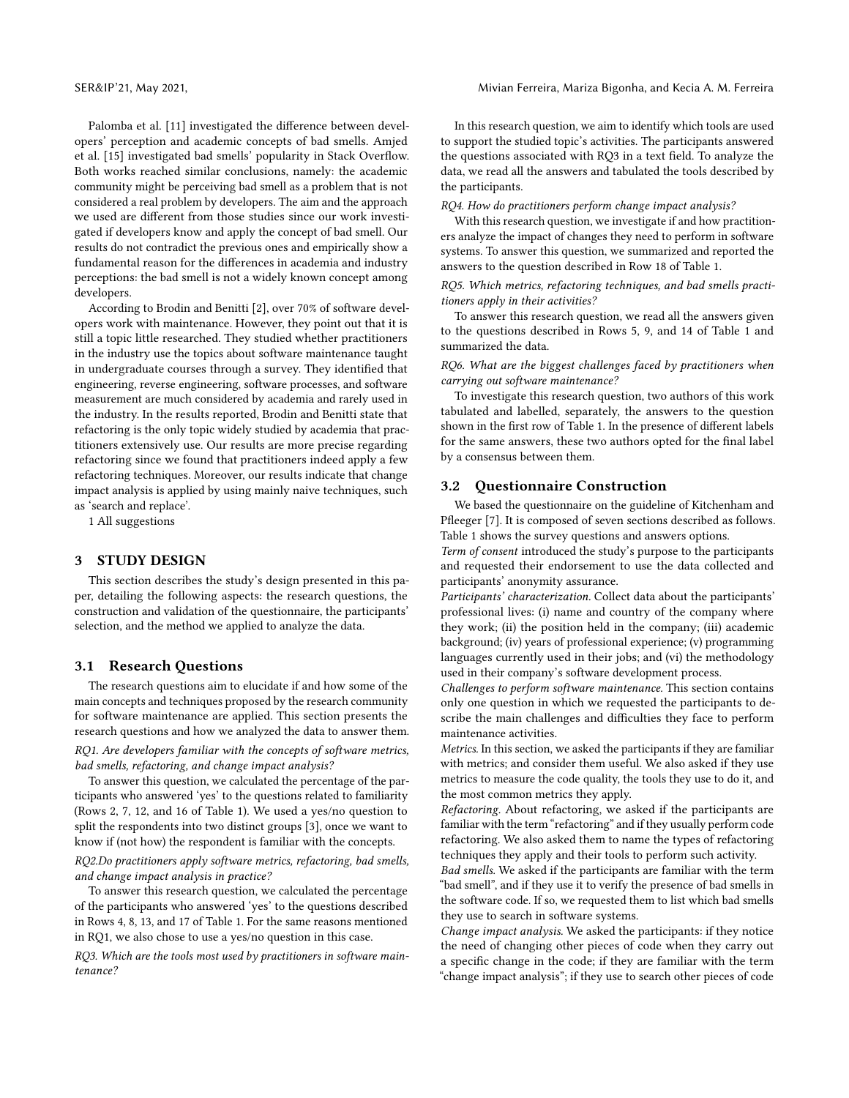Palomba et al. [\[11\]](#page-7-10) investigated the difference between developers' perception and academic concepts of bad smells. Amjed et al. [\[15\]](#page-7-11) investigated bad smells' popularity in Stack Overflow. Both works reached similar conclusions, namely: the academic community might be perceiving bad smell as a problem that is not considered a real problem by developers. The aim and the approach we used are different from those studies since our work investigated if developers know and apply the concept of bad smell. Our results do not contradict the previous ones and empirically show a fundamental reason for the differences in academia and industry perceptions: the bad smell is not a widely known concept among developers.

According to Brodin and Benitti [\[2\]](#page-7-4), over 70% of software developers work with maintenance. However, they point out that it is still a topic little researched. They studied whether practitioners in the industry use the topics about software maintenance taught in undergraduate courses through a survey. They identified that engineering, reverse engineering, software processes, and software measurement are much considered by academia and rarely used in the industry. In the results reported, Brodin and Benitti state that refactoring is the only topic widely studied by academia that practitioners extensively use. Our results are more precise regarding refactoring since we found that practitioners indeed apply a few refactoring techniques. Moreover, our results indicate that change impact analysis is applied by using mainly naive techniques, such as 'search and replace'.

1 All suggestions

# 3 STUDY DESIGN

This section describes the study's design presented in this paper, detailing the following aspects: the research questions, the construction and validation of the questionnaire, the participants' selection, and the method we applied to analyze the data.

#### 3.1 Research Questions

The research questions aim to elucidate if and how some of the main concepts and techniques proposed by the research community for software maintenance are applied. This section presents the research questions and how we analyzed the data to answer them.

RQ1. Are developers familiar with the concepts of software metrics, bad smells, refactoring, and change impact analysis?

To answer this question, we calculated the percentage of the participants who answered 'yes' to the questions related to familiarity (Rows 2, 7, 12, and 16 of Table [1\)](#page-2-0). We used a yes/no question to split the respondents into two distinct groups [\[3\]](#page-7-12), once we want to know if (not how) the respondent is familiar with the concepts.

#### RQ2.Do practitioners apply software metrics, refactoring, bad smells, and change impact analysis in practice?

To answer this research question, we calculated the percentage of the participants who answered 'yes' to the questions described in Rows 4, 8, 13, and 17 of Table [1.](#page-2-0) For the same reasons mentioned in RQ1, we also chose to use a yes/no question in this case.

RQ3. Which are the tools most used by practitioners in software maintenance?

In this research question, we aim to identify which tools are used to support the studied topic's activities. The participants answered the questions associated with RQ3 in a text field. To analyze the data, we read all the answers and tabulated the tools described by the participants.

RQ4. How do practitioners perform change impact analysis?

With this research question, we investigate if and how practitioners analyze the impact of changes they need to perform in software systems. To answer this question, we summarized and reported the answers to the question described in Row 18 of Table [1.](#page-2-0)

RQ5. Which metrics, refactoring techniques, and bad smells practitioners apply in their activities?

To answer this research question, we read all the answers given to the questions described in Rows 5, 9, and 14 of Table [1](#page-2-0) and summarized the data.

RQ6. What are the biggest challenges faced by practitioners when carrying out software maintenance?

To investigate this research question, two authors of this work tabulated and labelled, separately, the answers to the question shown in the first row of Table [1.](#page-2-0) In the presence of different labels for the same answers, these two authors opted for the final label by a consensus between them.

#### 3.2 Questionnaire Construction

We based the questionnaire on the guideline of Kitchenham and Pfleeger [\[7\]](#page-7-13). It is composed of seven sections described as follows. Table [1](#page-2-0) shows the survey questions and answers options.

Term of consent introduced the study's purpose to the participants and requested their endorsement to use the data collected and participants' anonymity assurance.

Participants' characterization. Collect data about the participants' professional lives: (i) name and country of the company where they work; (ii) the position held in the company; (iii) academic background; (iv) years of professional experience; (v) programming languages currently used in their jobs; and (vi) the methodology used in their company's software development process.

Challenges to perform software maintenance. This section contains only one question in which we requested the participants to describe the main challenges and difficulties they face to perform maintenance activities.

Metrics. In this section, we asked the participants if they are familiar with metrics; and consider them useful. We also asked if they use metrics to measure the code quality, the tools they use to do it, and the most common metrics they apply.

Refactoring. About refactoring, we asked if the participants are familiar with the term "refactoring" and if they usually perform code refactoring. We also asked them to name the types of refactoring techniques they apply and their tools to perform such activity.

Bad smells. We asked if the participants are familiar with the term "bad smell", and if they use it to verify the presence of bad smells in the software code. If so, we requested them to list which bad smells they use to search in software systems.

Change impact analysis. We asked the participants: if they notice the need of changing other pieces of code when they carry out a specific change in the code; if they are familiar with the term "change impact analysis"; if they use to search other pieces of code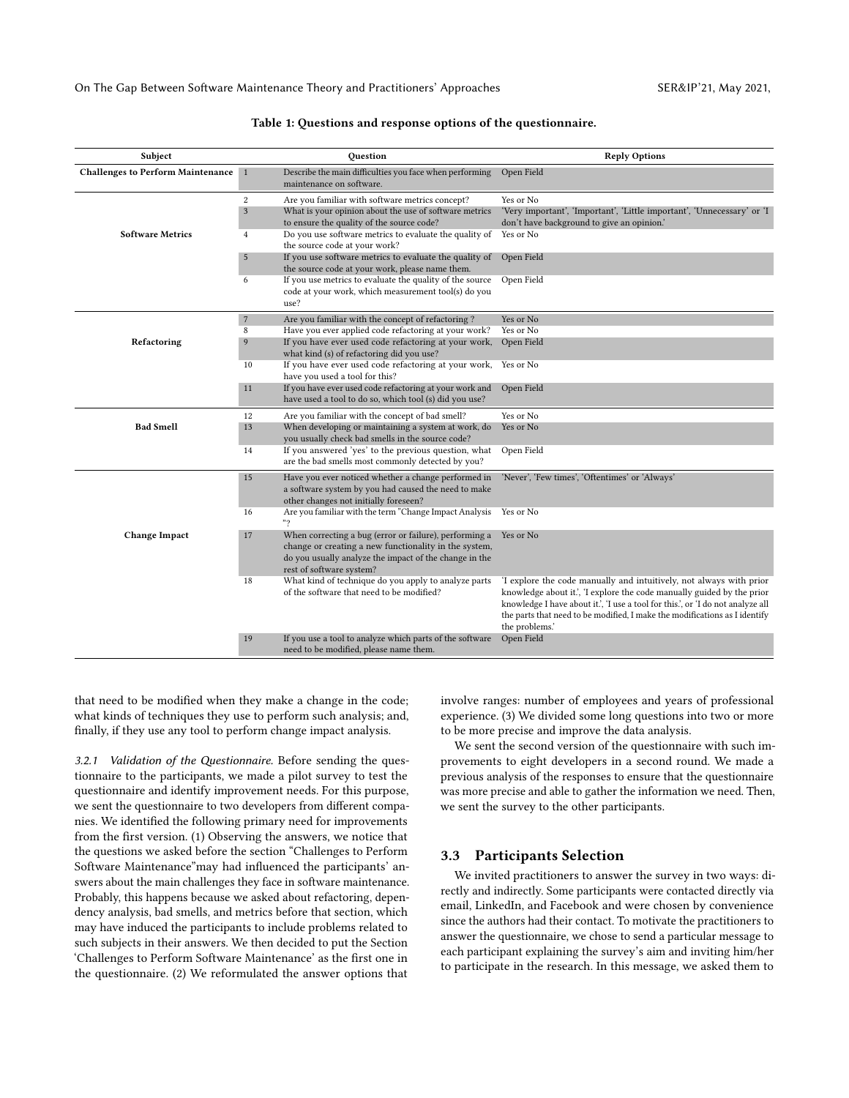<span id="page-2-0"></span>On The Gap Between Software Maintenance Theory and Practitioners' Approaches SER&IP'21, May 2021,

| Subject                                  | Question                                                                                                                                                                                                    | <b>Reply Options</b>                                                                                                                                                                                                                                                                                                             |
|------------------------------------------|-------------------------------------------------------------------------------------------------------------------------------------------------------------------------------------------------------------|----------------------------------------------------------------------------------------------------------------------------------------------------------------------------------------------------------------------------------------------------------------------------------------------------------------------------------|
| <b>Challenges to Perform Maintenance</b> | Describe the main difficulties you face when performing<br>1<br>maintenance on software.                                                                                                                    | Open Field                                                                                                                                                                                                                                                                                                                       |
|                                          | Are you familiar with software metrics concept?<br>2<br>$\overline{3}$<br>What is your opinion about the use of software metrics<br>to ensure the quality of the source code?                               | Yes or No<br>'Very important', 'Important', 'Little important', 'Unnecessary' or 'I<br>don't have background to give an opinion.'                                                                                                                                                                                                |
| <b>Software Metrics</b>                  | Do you use software metrics to evaluate the quality of<br>$\overline{4}$<br>the source code at your work?                                                                                                   | Yes or No                                                                                                                                                                                                                                                                                                                        |
|                                          | If you use software metrics to evaluate the quality of<br>$\overline{5}$<br>the source code at your work, please name them.                                                                                 | Open Field                                                                                                                                                                                                                                                                                                                       |
|                                          | If you use metrics to evaluate the quality of the source<br>6<br>code at your work, which measurement tool(s) do you<br>use?                                                                                | Open Field                                                                                                                                                                                                                                                                                                                       |
|                                          | Are you familiar with the concept of refactoring?<br>$7\phantom{.0}$                                                                                                                                        | Yes or No                                                                                                                                                                                                                                                                                                                        |
|                                          | Have you ever applied code refactoring at your work?<br>8                                                                                                                                                   | Yes or No                                                                                                                                                                                                                                                                                                                        |
| Refactoring                              | If you have ever used code refactoring at your work,<br>9<br>what kind (s) of refactoring did you use?                                                                                                      | Open Field                                                                                                                                                                                                                                                                                                                       |
|                                          | If you have ever used code refactoring at your work,<br>10<br>have you used a tool for this?                                                                                                                | Yes or No                                                                                                                                                                                                                                                                                                                        |
|                                          | If you have ever used code refactoring at your work and<br>11<br>have used a tool to do so, which tool (s) did you use?                                                                                     | Open Field                                                                                                                                                                                                                                                                                                                       |
|                                          | Are you familiar with the concept of bad smell?<br>12                                                                                                                                                       | Yes or No                                                                                                                                                                                                                                                                                                                        |
| <b>Bad Smell</b>                         | 13<br>When developing or maintaining a system at work, do<br>you usually check bad smells in the source code?                                                                                               | Yes or No                                                                                                                                                                                                                                                                                                                        |
|                                          | If you answered 'yes' to the previous question, what<br>14<br>are the bad smells most commonly detected by you?                                                                                             | Open Field                                                                                                                                                                                                                                                                                                                       |
|                                          | Have you ever noticed whether a change performed in<br>15<br>a software system by you had caused the need to make<br>other changes not initially foreseen?                                                  | 'Never', 'Few times', 'Oftentimes' or 'Always'                                                                                                                                                                                                                                                                                   |
|                                          | Are you familiar with the term "Change Impact Analysis<br>16<br>"?                                                                                                                                          | Yes or No                                                                                                                                                                                                                                                                                                                        |
| <b>Change Impact</b>                     | When correcting a bug (error or failure), performing a<br>17<br>change or creating a new functionality in the system,<br>do you usually analyze the impact of the change in the<br>rest of software system? | Yes or No                                                                                                                                                                                                                                                                                                                        |
|                                          | What kind of technique do you apply to analyze parts<br>18<br>of the software that need to be modified?                                                                                                     | 'I explore the code manually and intuitively, not always with prior<br>knowledge about it.', 'I explore the code manually guided by the prior<br>knowledge I have about it.', 'I use a tool for this.', or 'I do not analyze all<br>the parts that need to be modified, I make the modifications as I identify<br>the problems.' |
|                                          | If you use a tool to analyze which parts of the software<br>19<br>need to be modified, please name them.                                                                                                    | Open Field                                                                                                                                                                                                                                                                                                                       |

#### Table 1: Questions and response options of the questionnaire.

that need to be modified when they make a change in the code; what kinds of techniques they use to perform such analysis; and, finally, if they use any tool to perform change impact analysis.

3.2.1 Validation of the Questionnaire. Before sending the questionnaire to the participants, we made a pilot survey to test the questionnaire and identify improvement needs. For this purpose, we sent the questionnaire to two developers from different companies. We identified the following primary need for improvements from the first version. (1) Observing the answers, we notice that the questions we asked before the section "Challenges to Perform Software Maintenance"may had influenced the participants' answers about the main challenges they face in software maintenance. Probably, this happens because we asked about refactoring, dependency analysis, bad smells, and metrics before that section, which may have induced the participants to include problems related to such subjects in their answers. We then decided to put the Section 'Challenges to Perform Software Maintenance' as the first one in the questionnaire. (2) We reformulated the answer options that

involve ranges: number of employees and years of professional experience. (3) We divided some long questions into two or more to be more precise and improve the data analysis.

We sent the second version of the questionnaire with such improvements to eight developers in a second round. We made a previous analysis of the responses to ensure that the questionnaire was more precise and able to gather the information we need. Then, we sent the survey to the other participants.

# 3.3 Participants Selection

We invited practitioners to answer the survey in two ways: directly and indirectly. Some participants were contacted directly via email, LinkedIn, and Facebook and were chosen by convenience since the authors had their contact. To motivate the practitioners to answer the questionnaire, we chose to send a particular message to each participant explaining the survey's aim and inviting him/her to participate in the research. In this message, we asked them to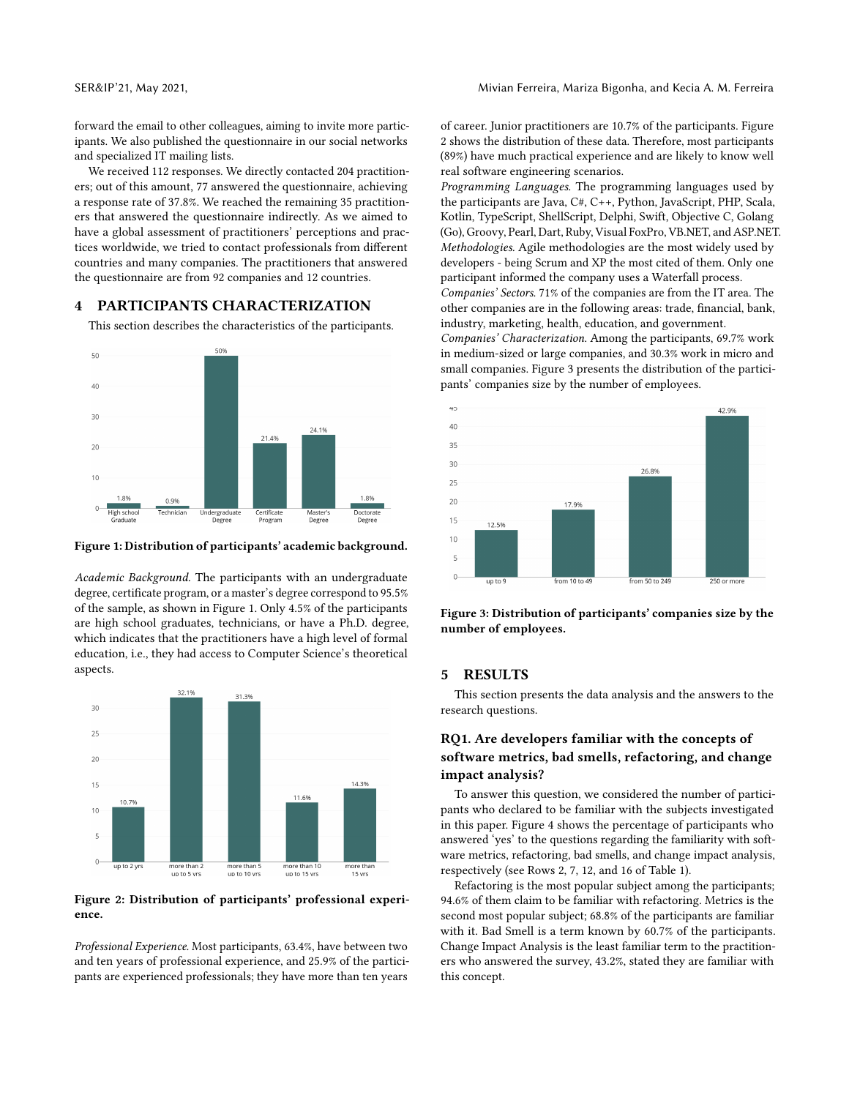forward the email to other colleagues, aiming to invite more participants. We also published the questionnaire in our social networks and specialized IT mailing lists.

We received 112 responses. We directly contacted 204 practitioners; out of this amount, 77 answered the questionnaire, achieving a response rate of 37.8%. We reached the remaining 35 practitioners that answered the questionnaire indirectly. As we aimed to have a global assessment of practitioners' perceptions and practices worldwide, we tried to contact professionals from different countries and many companies. The practitioners that answered the questionnaire are from 92 companies and 12 countries.

### PARTICIPANTS CHARACTERIZATION

This section describes the characteristics of the participants.

<span id="page-3-0"></span>

#### Figure 1: Distribution of participants' academic background.

Academic Background. The participants with an undergraduate degree, certificate program, or a master's degree correspond to 95.5% of the sample, as shown in Figure [1.](#page-3-0) Only 4.5% of the participants are high school graduates, technicians, or have a Ph.D. degree, which indicates that the practitioners have a high level of formal education, i.e., they had access to Computer Science's theoretical aspects.

<span id="page-3-1"></span>

Figure 2: Distribution of participants' professional experience.

Professional Experience. Most participants, 63.4%, have between two and ten years of professional experience, and 25.9% of the participants are experienced professionals; they have more than ten years

of career. Junior practitioners are 10.7% of the participants. Figure [2](#page-3-1) shows the distribution of these data. Therefore, most participants (89%) have much practical experience and are likely to know well real software engineering scenarios.

Programming Languages. The programming languages used by the participants are Java, C#, C++, Python, JavaScript, PHP, Scala, Kotlin, TypeScript, ShellScript, Delphi, Swift, Objective C, Golang (Go), Groovy, Pearl, Dart, Ruby, Visual FoxPro, VB.NET, and ASP.NET. Methodologies. Agile methodologies are the most widely used by developers - being Scrum and XP the most cited of them. Only one participant informed the company uses a Waterfall process. Companies' Sectors. 71% of the companies are from the IT area. The other companies are in the following areas: trade, financial, bank,

industry, marketing, health, education, and government. Companies' Characterization. Among the participants, 69.7% work in medium-sized or large companies, and 30.3% work in micro and small companies. Figure [3](#page-3-2) presents the distribution of the participants' companies size by the number of employees.

<span id="page-3-2"></span>

Figure 3: Distribution of participants' companies size by the number of employees.

#### 5 RESULTS

This section presents the data analysis and the answers to the research questions.

# RQ1. Are developers familiar with the concepts of software metrics, bad smells, refactoring, and change impact analysis?

To answer this question, we considered the number of participants who declared to be familiar with the subjects investigated in this paper. Figure [4](#page-4-0) shows the percentage of participants who answered 'yes' to the questions regarding the familiarity with software metrics, refactoring, bad smells, and change impact analysis, respectively (see Rows 2, 7, 12, and 16 of Table [1\)](#page-2-0).

Refactoring is the most popular subject among the participants; 94.6% of them claim to be familiar with refactoring. Metrics is the second most popular subject; 68.8% of the participants are familiar with it. Bad Smell is a term known by 60.7% of the participants. Change Impact Analysis is the least familiar term to the practitioners who answered the survey, 43.2%, stated they are familiar with this concept.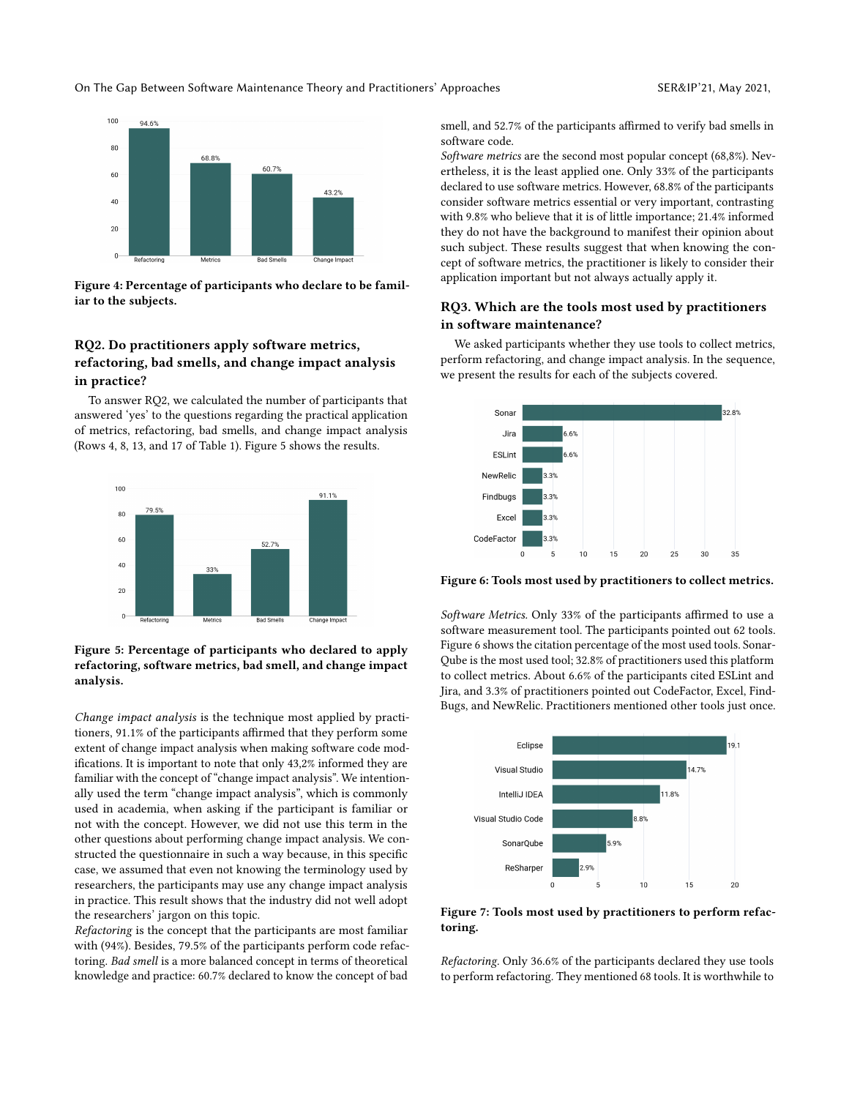On The Gap Between Software Maintenance Theory and Practitioners' Approaches SER&IP'21, May 2021,

<span id="page-4-0"></span>

Figure 4: Percentage of participants who declare to be familiar to the subjects.

# RQ2. Do practitioners apply software metrics, refactoring, bad smells, and change impact analysis in practice?

To answer RQ2, we calculated the number of participants that answered 'yes' to the questions regarding the practical application of metrics, refactoring, bad smells, and change impact analysis (Rows 4, 8, 13, and 17 of Table [1\)](#page-2-0). Figure [5](#page-4-1) shows the results.

<span id="page-4-1"></span>

### Figure 5: Percentage of participants who declared to apply refactoring, software metrics, bad smell, and change impact analysis.

Change impact analysis is the technique most applied by practitioners, 91.1% of the participants affirmed that they perform some extent of change impact analysis when making software code modifications. It is important to note that only 43,2% informed they are familiar with the concept of "change impact analysis". We intentionally used the term "change impact analysis", which is commonly used in academia, when asking if the participant is familiar or not with the concept. However, we did not use this term in the other questions about performing change impact analysis. We constructed the questionnaire in such a way because, in this specific case, we assumed that even not knowing the terminology used by researchers, the participants may use any change impact analysis in practice. This result shows that the industry did not well adopt the researchers' jargon on this topic.

Refactoring is the concept that the participants are most familiar with (94%). Besides, 79.5% of the participants perform code refactoring. Bad smell is a more balanced concept in terms of theoretical knowledge and practice: 60.7% declared to know the concept of bad

smell, and 52.7% of the participants affirmed to verify bad smells in software code.

Software metrics are the second most popular concept (68,8%). Nevertheless, it is the least applied one. Only 33% of the participants declared to use software metrics. However, 68.8% of the participants consider software metrics essential or very important, contrasting with 9.8% who believe that it is of little importance; 21.4% informed they do not have the background to manifest their opinion about such subject. These results suggest that when knowing the concept of software metrics, the practitioner is likely to consider their application important but not always actually apply it.

# RQ3. Which are the tools most used by practitioners in software maintenance?

We asked participants whether they use tools to collect metrics, perform refactoring, and change impact analysis. In the sequence, we present the results for each of the subjects covered.

<span id="page-4-2"></span>

Figure 6: Tools most used by practitioners to collect metrics.

Software Metrics. Only 33% of the participants affirmed to use a software measurement tool. The participants pointed out 62 tools. Figure [6](#page-4-2) shows the citation percentage of the most used tools. Sonar-Qube is the most used tool; 32.8% of practitioners used this platform to collect metrics. About 6.6% of the participants cited ESLint and Jira, and 3.3% of practitioners pointed out CodeFactor, Excel, Find-Bugs, and NewRelic. Practitioners mentioned other tools just once.

<span id="page-4-3"></span>

Figure 7: Tools most used by practitioners to perform refactoring.

Refactoring. Only 36.6% of the participants declared they use tools to perform refactoring. They mentioned 68 tools. It is worthwhile to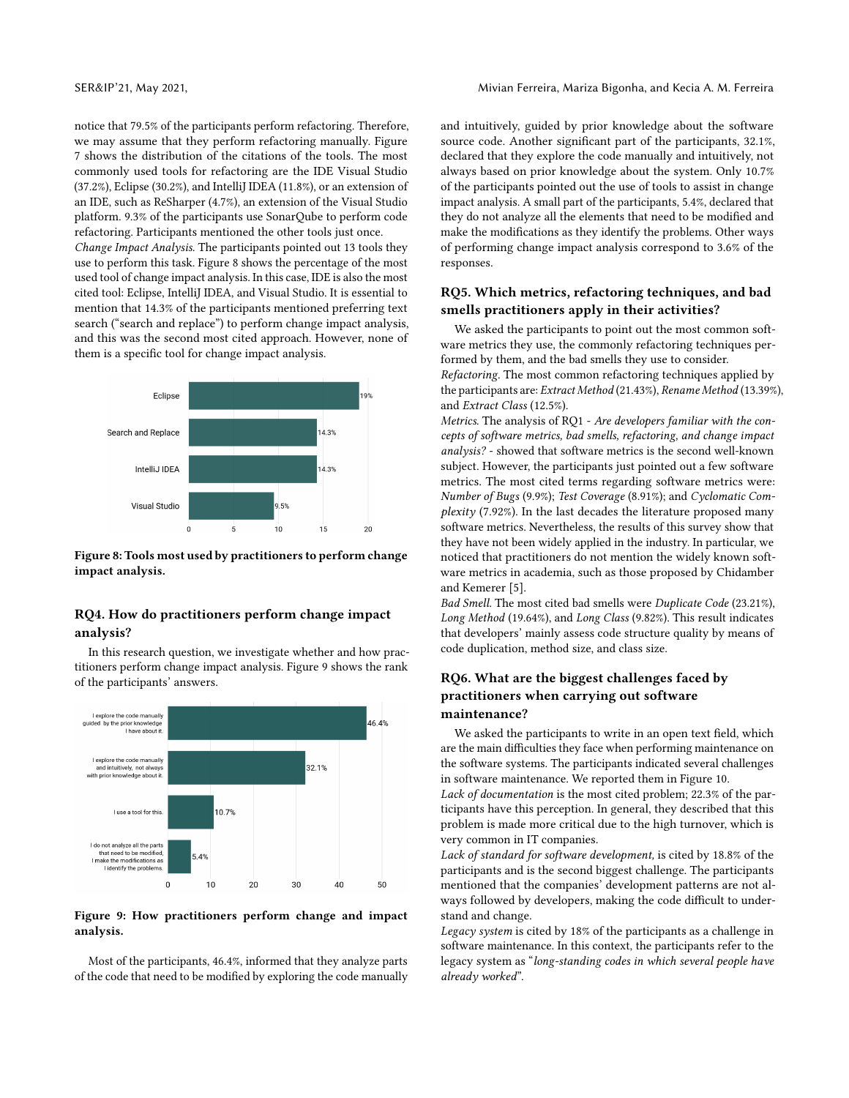notice that 79.5% of the participants perform refactoring. Therefore, we may assume that they perform refactoring manually. Figure [7](#page-4-3) shows the distribution of the citations of the tools. The most commonly used tools for refactoring are the IDE Visual Studio  $(37.2\%)$ , Eclipse  $(30.2\%)$ , and IntelliJ IDEA  $(11.8\%)$ , or an extension of an IDE, such as ReSharper (4.7%), an extension of the Visual Studio platform. 9.3% of the participants use SonarQube to perform code refactoring. Participants mentioned the other tools just once.

Change Impact Analysis. The participants pointed out 13 tools they use to perform this task. Figure [8](#page-5-0) shows the percentage of the most used tool of change impact analysis. In this case, IDE is also the most cited tool: Eclipse, IntelliJ IDEA, and Visual Studio. It is essential to mention that 14.3% of the participants mentioned preferring text search ("search and replace") to perform change impact analysis, and this was the second most cited approach. However, none of them is a specific tool for change impact analysis.

<span id="page-5-0"></span>

Figure 8: Tools most used by practitioners to perform change impact analysis.

# RQ4. How do practitioners perform change impact analysis?

In this research question, we investigate whether and how practitioners perform change impact analysis. Figure [9](#page-5-1) shows the rank of the participants' answers.

<span id="page-5-1"></span>

# Figure 9: How practitioners perform change and impact analysis.

Most of the participants, 46.4%, informed that they analyze parts of the code that need to be modified by exploring the code manually and intuitively, guided by prior knowledge about the software source code. Another significant part of the participants, 32.1%, declared that they explore the code manually and intuitively, not always based on prior knowledge about the system. Only 10.7% of the participants pointed out the use of tools to assist in change impact analysis. A small part of the participants, 5.4%, declared that they do not analyze all the elements that need to be modified and make the modifications as they identify the problems. Other ways of performing change impact analysis correspond to 3.6% of the responses.

# RQ5. Which metrics, refactoring techniques, and bad smells practitioners apply in their activities?

We asked the participants to point out the most common software metrics they use, the commonly refactoring techniques performed by them, and the bad smells they use to consider.

Refactoring. The most common refactoring techniques applied by the participants are: Extract Method (21.43%), Rename Method (13.39%), and Extract Class (12.5%).

Metrics. The analysis of RQ1 - Are developers familiar with the concepts of software metrics, bad smells, refactoring, and change impact analysis? - showed that software metrics is the second well-known subject. However, the participants just pointed out a few software metrics. The most cited terms regarding software metrics were: Number of Bugs (9.9%); Test Coverage (8.91%); and Cyclomatic Complexity (7.92%). In the last decades the literature proposed many software metrics. Nevertheless, the results of this survey show that they have not been widely applied in the industry. In particular, we noticed that practitioners do not mention the widely known software metrics in academia, such as those proposed by Chidamber and Kemerer [\[5\]](#page-7-14).

Bad Smell. The most cited bad smells were Duplicate Code (23.21%), Long Method (19.64%), and Long Class (9.82%). This result indicates that developers' mainly assess code structure quality by means of code duplication, method size, and class size.

# RQ6. What are the biggest challenges faced by practitioners when carrying out software maintenance?

We asked the participants to write in an open text field, which are the main difficulties they face when performing maintenance on the software systems. The participants indicated several challenges in software maintenance. We reported them in Figure [10.](#page-6-0)

Lack of documentation is the most cited problem; 22.3% of the participants have this perception. In general, they described that this problem is made more critical due to the high turnover, which is very common in IT companies.

Lack of standard for software development, is cited by 18.8% of the participants and is the second biggest challenge. The participants mentioned that the companies' development patterns are not always followed by developers, making the code difficult to understand and change.

Legacy system is cited by 18% of the participants as a challenge in software maintenance. In this context, the participants refer to the legacy system as "long-standing codes in which several people have already worked".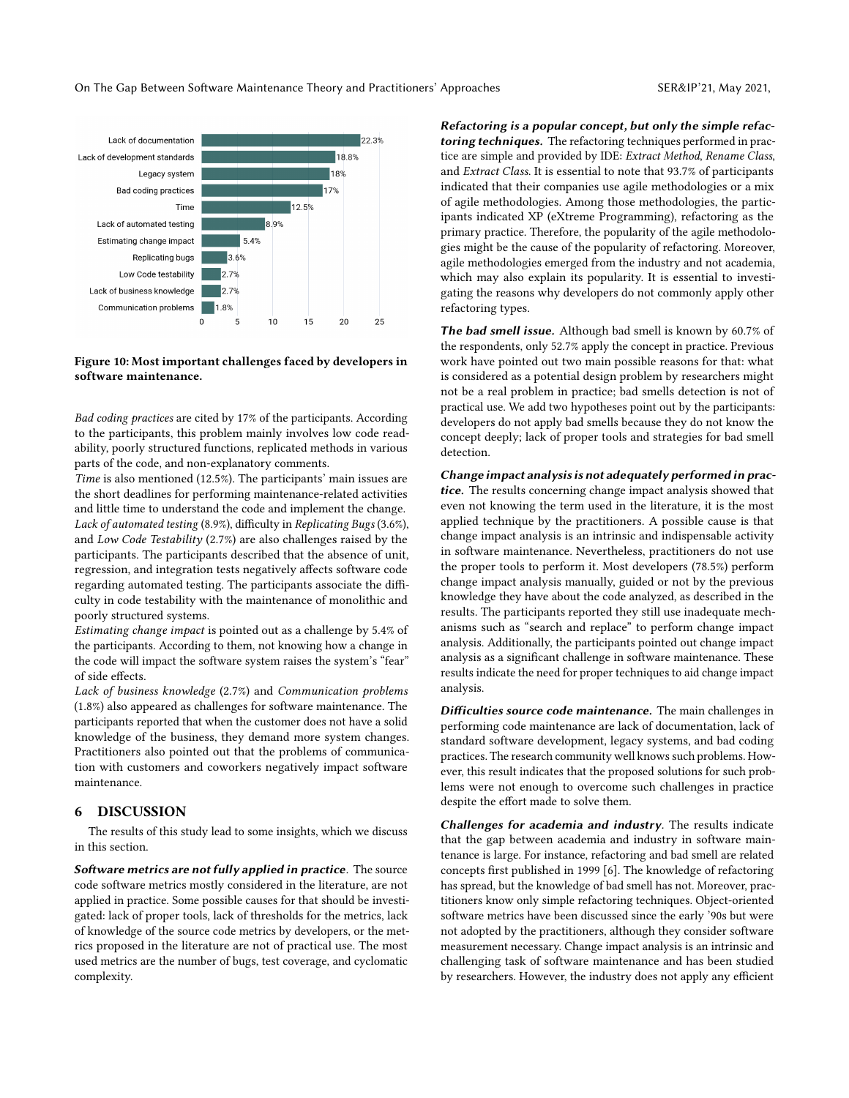<span id="page-6-0"></span>

#### Figure 10: Most important challenges faced by developers in software maintenance.

Bad coding practices are cited by 17% of the participants. According to the participants, this problem mainly involves low code readability, poorly structured functions, replicated methods in various parts of the code, and non-explanatory comments.

Time is also mentioned (12.5%). The participants' main issues are the short deadlines for performing maintenance-related activities and little time to understand the code and implement the change. Lack of automated testing (8.9%), difficulty in Replicating Bugs (3.6%), and Low Code Testability (2.7%) are also challenges raised by the participants. The participants described that the absence of unit, regression, and integration tests negatively affects software code regarding automated testing. The participants associate the difficulty in code testability with the maintenance of monolithic and poorly structured systems.

Estimating change impact is pointed out as a challenge by 5.4% of the participants. According to them, not knowing how a change in the code will impact the software system raises the system's "fear" of side effects.

Lack of business knowledge (2.7%) and Communication problems (1.8%) also appeared as challenges for software maintenance. The participants reported that when the customer does not have a solid knowledge of the business, they demand more system changes. Practitioners also pointed out that the problems of communication with customers and coworkers negatively impact software maintenance.

# 6 DISCUSSION

The results of this study lead to some insights, which we discuss in this section.

Software metrics are not fully applied in practice. The source code software metrics mostly considered in the literature, are not applied in practice. Some possible causes for that should be investigated: lack of proper tools, lack of thresholds for the metrics, lack of knowledge of the source code metrics by developers, or the metrics proposed in the literature are not of practical use. The most used metrics are the number of bugs, test coverage, and cyclomatic complexity.

Refactoring is a popular concept, but only the simple refactoring techniques. The refactoring techniques performed in practice are simple and provided by IDE: Extract Method, Rename Class, and Extract Class. It is essential to note that 93.7% of participants indicated that their companies use agile methodologies or a mix of agile methodologies. Among those methodologies, the participants indicated XP (eXtreme Programming), refactoring as the primary practice. Therefore, the popularity of the agile methodologies might be the cause of the popularity of refactoring. Moreover, agile methodologies emerged from the industry and not academia, which may also explain its popularity. It is essential to investigating the reasons why developers do not commonly apply other refactoring types.

The bad smell issue. Although bad smell is known by 60.7% of the respondents, only 52.7% apply the concept in practice. Previous work have pointed out two main possible reasons for that: what is considered as a potential design problem by researchers might not be a real problem in practice; bad smells detection is not of practical use. We add two hypotheses point out by the participants: developers do not apply bad smells because they do not know the concept deeply; lack of proper tools and strategies for bad smell detection.

Change impact analysis is not adequately performed in practice. The results concerning change impact analysis showed that even not knowing the term used in the literature, it is the most applied technique by the practitioners. A possible cause is that change impact analysis is an intrinsic and indispensable activity in software maintenance. Nevertheless, practitioners do not use the proper tools to perform it. Most developers (78.5%) perform change impact analysis manually, guided or not by the previous knowledge they have about the code analyzed, as described in the results. The participants reported they still use inadequate mechanisms such as "search and replace" to perform change impact analysis. Additionally, the participants pointed out change impact analysis as a significant challenge in software maintenance. These results indicate the need for proper techniques to aid change impact analysis.

Difficulties source code maintenance. The main challenges in performing code maintenance are lack of documentation, lack of standard software development, legacy systems, and bad coding practices. The research community well knows such problems. However, this result indicates that the proposed solutions for such problems were not enough to overcome such challenges in practice despite the effort made to solve them.

Challenges for academia and industry. The results indicate that the gap between academia and industry in software maintenance is large. For instance, refactoring and bad smell are related concepts first published in 1999 [\[6\]](#page-7-15). The knowledge of refactoring has spread, but the knowledge of bad smell has not. Moreover, practitioners know only simple refactoring techniques. Object-oriented software metrics have been discussed since the early '90s but were not adopted by the practitioners, although they consider software measurement necessary. Change impact analysis is an intrinsic and challenging task of software maintenance and has been studied by researchers. However, the industry does not apply any efficient